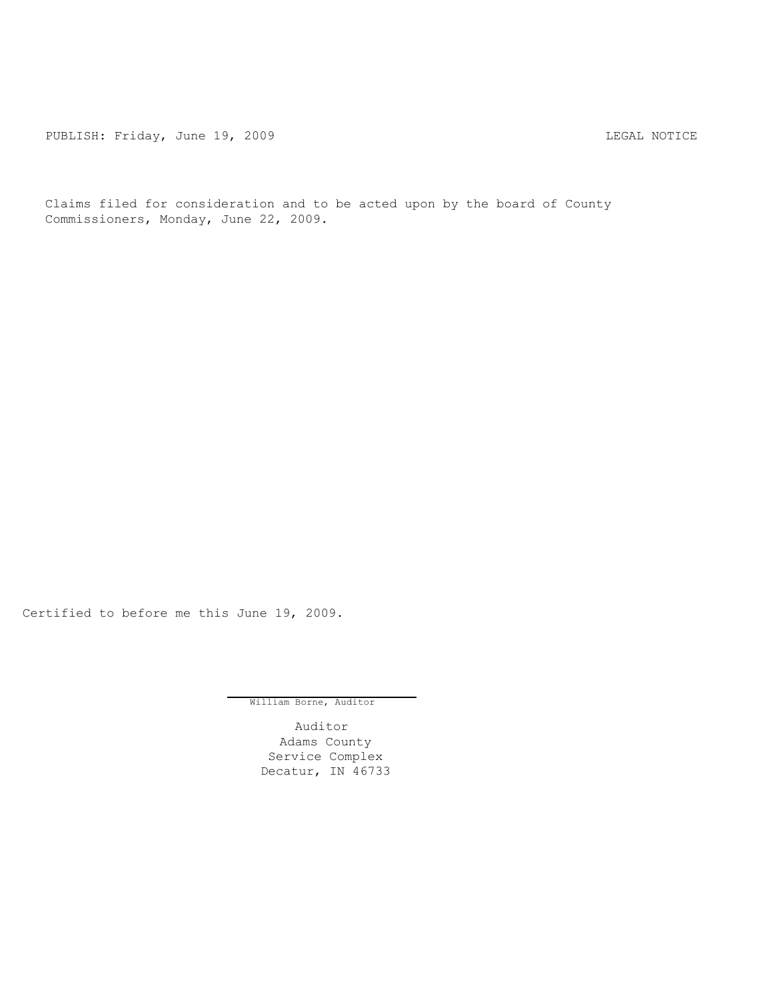PUBLISH: Friday, June 19, 2009 <br>
LEGAL NOTICE

Claims filed for consideration and to be acted upon by the board of County Commissioners, Monday, June 22, 2009.

Certified to before me this June 19, 2009.

William Borne, Auditor

Auditor Adams County Service Complex Decatur, IN 46733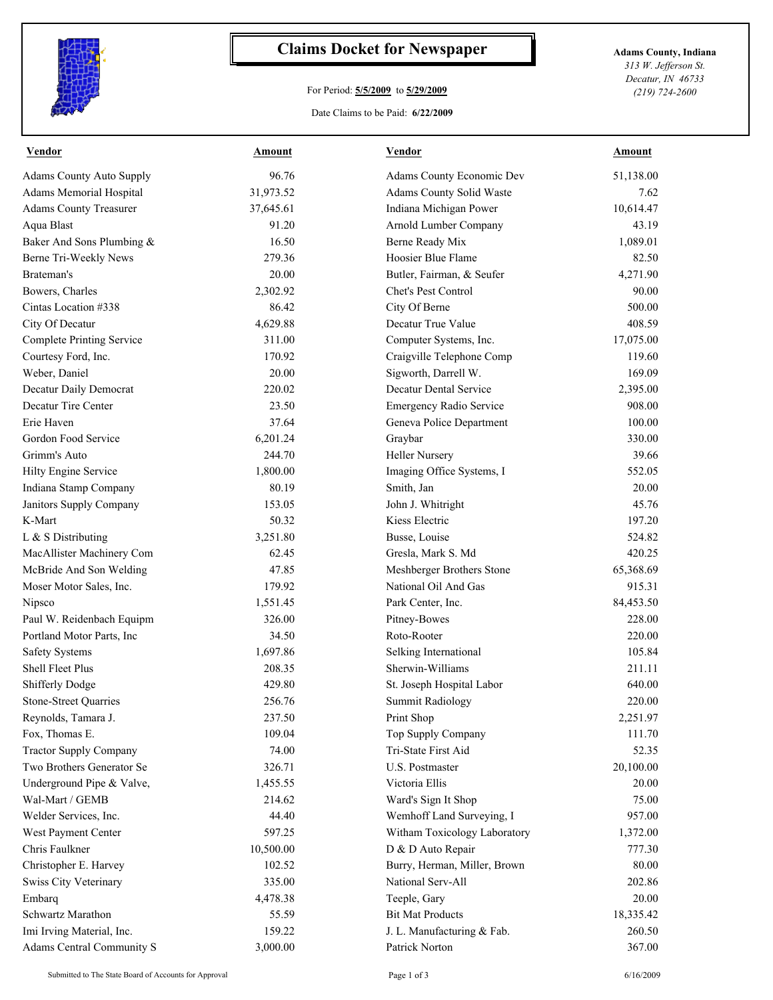

## **Claims Docket for Newspaper Adams County, Indiana**

## For Period: **5/5/2009** to **5/29/2009**

*313 W. Jefferson St. Decatur, IN 46733 (219) 724-2600*

Date Claims to be Paid: **6/22/2009**

| <b>Vendor</b>                   | Amount    | <b>Vendor</b>                  | <b>Amount</b> |
|---------------------------------|-----------|--------------------------------|---------------|
| <b>Adams County Auto Supply</b> | 96.76     | Adams County Economic Dev      | 51,138.00     |
| Adams Memorial Hospital         | 31,973.52 | Adams County Solid Waste       | 7.62          |
| <b>Adams County Treasurer</b>   | 37,645.61 | Indiana Michigan Power         | 10,614.47     |
| Aqua Blast                      | 91.20     | Arnold Lumber Company          | 43.19         |
| Baker And Sons Plumbing &       | 16.50     | Berne Ready Mix                | 1,089.01      |
| Berne Tri-Weekly News           | 279.36    | Hoosier Blue Flame             | 82.50         |
| Brateman's                      | 20.00     | Butler, Fairman, & Seufer      | 4,271.90      |
| Bowers, Charles                 | 2,302.92  | Chet's Pest Control            | 90.00         |
| Cintas Location #338            | 86.42     | City Of Berne                  | 500.00        |
| City Of Decatur                 | 4,629.88  | Decatur True Value             | 408.59        |
| Complete Printing Service       | 311.00    | Computer Systems, Inc.         | 17,075.00     |
| Courtesy Ford, Inc.             | 170.92    | Craigville Telephone Comp      | 119.60        |
| Weber, Daniel                   | 20.00     | Sigworth, Darrell W.           | 169.09        |
| Decatur Daily Democrat          | 220.02    | Decatur Dental Service         | 2,395.00      |
| Decatur Tire Center             | 23.50     | <b>Emergency Radio Service</b> | 908.00        |
| Erie Haven                      | 37.64     | Geneva Police Department       | 100.00        |
| Gordon Food Service             | 6,201.24  | Graybar                        | 330.00        |
| Grimm's Auto                    | 244.70    | <b>Heller Nursery</b>          | 39.66         |
| Hilty Engine Service            | 1,800.00  | Imaging Office Systems, I      | 552.05        |
| Indiana Stamp Company           | 80.19     | Smith, Jan                     | 20.00         |
| Janitors Supply Company         | 153.05    | John J. Whitright              | 45.76         |
| K-Mart                          | 50.32     | Kiess Electric                 | 197.20        |
| L & S Distributing              | 3,251.80  | Busse, Louise                  | 524.82        |
| MacAllister Machinery Com       | 62.45     | Gresla, Mark S. Md             | 420.25        |
| McBride And Son Welding         | 47.85     | Meshberger Brothers Stone      | 65,368.69     |
| Moser Motor Sales, Inc.         | 179.92    | National Oil And Gas           | 915.31        |
| Nipsco                          | 1,551.45  | Park Center, Inc.              | 84,453.50     |
| Paul W. Reidenbach Equipm       | 326.00    | Pitney-Bowes                   | 228.00        |
| Portland Motor Parts, Inc.      | 34.50     | Roto-Rooter                    | 220.00        |
| <b>Safety Systems</b>           | 1,697.86  | Selking International          | 105.84        |
| Shell Fleet Plus                | 208.35    | Sherwin-Williams               | 211.11        |
| <b>Shifferly Dodge</b>          | 429.80    | St. Joseph Hospital Labor      | 640.00        |
| Stone-Street Quarries           | 256.76    | Summit Radiology               | 220.00        |
| Reynolds, Tamara J.             | 237.50    | Print Shop                     | 2,251.97      |
| Fox, Thomas E.                  | 109.04    | Top Supply Company             | 111.70        |
| <b>Tractor Supply Company</b>   | 74.00     | Tri-State First Aid            | 52.35         |
| Two Brothers Generator Se       | 326.71    | U.S. Postmaster                | 20,100.00     |
| Underground Pipe & Valve,       | 1,455.55  | Victoria Ellis                 | 20.00         |
| Wal-Mart / GEMB                 | 214.62    | Ward's Sign It Shop            | 75.00         |
| Welder Services, Inc.           | 44.40     | Wemhoff Land Surveying, I      | 957.00        |
| West Payment Center             | 597.25    | Witham Toxicology Laboratory   | 1,372.00      |
| Chris Faulkner                  | 10,500.00 | D & D Auto Repair              | 777.30        |
| Christopher E. Harvey           | 102.52    | Burry, Herman, Miller, Brown   | 80.00         |
| Swiss City Veterinary           | 335.00    | National Serv-All              | 202.86        |
| Embarq                          | 4,478.38  | Teeple, Gary                   | 20.00         |
| Schwartz Marathon               | 55.59     | <b>Bit Mat Products</b>        | 18,335.42     |
| Imi Irving Material, Inc.       | 159.22    | J. L. Manufacturing & Fab.     | 260.50        |
| Adams Central Community S       | 3,000.00  | Patrick Norton                 | 367.00        |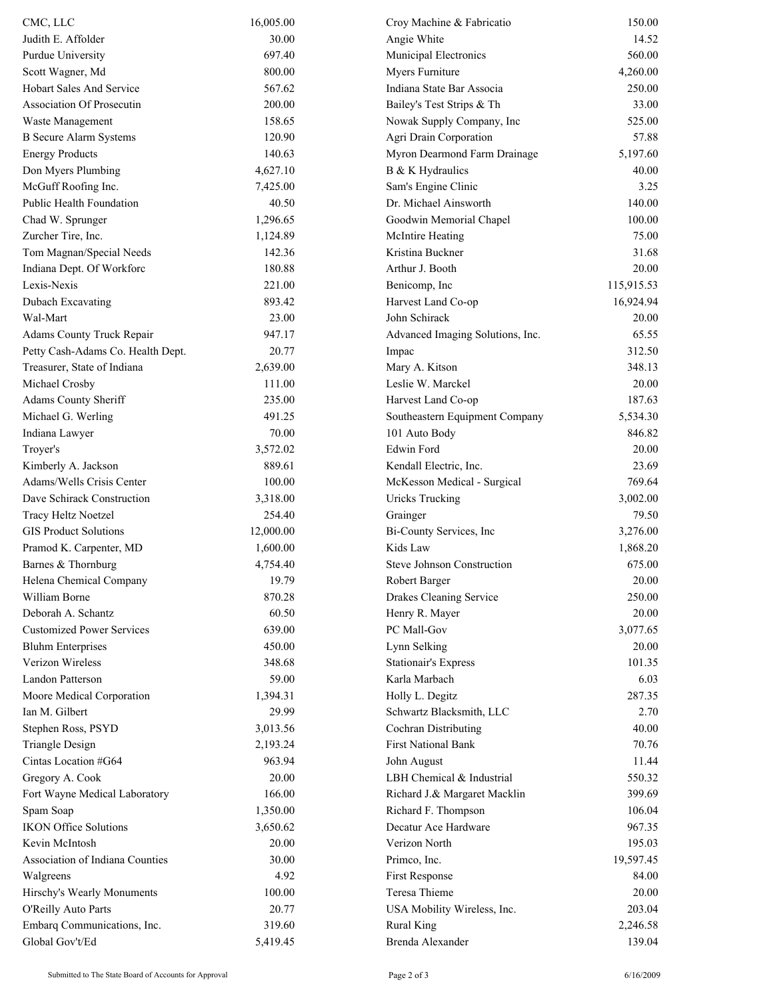| CMC, LLC                          | 16,005.00 | Croy Machine & Fabricatio        | 150.00     |
|-----------------------------------|-----------|----------------------------------|------------|
| Judith E. Affolder                | 30.00     | Angie White                      | 14.52      |
| Purdue University                 | 697.40    | Municipal Electronics            | 560.00     |
| Scott Wagner, Md                  | 800.00    | Myers Furniture                  | 4,260.00   |
| <b>Hobart Sales And Service</b>   | 567.62    | Indiana State Bar Associa        | 250.00     |
| <b>Association Of Prosecutin</b>  | 200.00    | Bailey's Test Strips & Th        | 33.00      |
| Waste Management                  | 158.65    | Nowak Supply Company, Inc        | 525.00     |
| <b>B</b> Secure Alarm Systems     | 120.90    | Agri Drain Corporation           | 57.88      |
| <b>Energy Products</b>            | 140.63    | Myron Dearmond Farm Drainage     | 5,197.60   |
| Don Myers Plumbing                | 4,627.10  | B & K Hydraulics                 | 40.00      |
| McGuff Roofing Inc.               | 7,425.00  | Sam's Engine Clinic              | 3.25       |
| Public Health Foundation          | 40.50     | Dr. Michael Ainsworth            | 140.00     |
| Chad W. Sprunger                  | 1,296.65  | Goodwin Memorial Chapel          | 100.00     |
| Zurcher Tire, Inc.                | 1,124.89  | McIntire Heating                 | 75.00      |
| Tom Magnan/Special Needs          | 142.36    | Kristina Buckner                 | 31.68      |
| Indiana Dept. Of Workforc         | 180.88    | Arthur J. Booth                  | 20.00      |
| Lexis-Nexis                       | 221.00    | Benicomp, Inc                    | 115,915.53 |
| Dubach Excavating                 | 893.42    | Harvest Land Co-op               | 16,924.94  |
| Wal-Mart                          | 23.00     | John Schirack                    | 20.00      |
| Adams County Truck Repair         | 947.17    | Advanced Imaging Solutions, Inc. | 65.55      |
| Petty Cash-Adams Co. Health Dept. | 20.77     | Impac                            | 312.50     |
| Treasurer, State of Indiana       | 2,639.00  | Mary A. Kitson                   | 348.13     |
| Michael Crosby                    | 111.00    | Leslie W. Marckel                | 20.00      |
| Adams County Sheriff              | 235.00    | Harvest Land Co-op               | 187.63     |
| Michael G. Werling                | 491.25    | Southeastern Equipment Company   | 5,534.30   |
| Indiana Lawyer                    | 70.00     | 101 Auto Body                    | 846.82     |
| Troyer's                          | 3,572.02  | Edwin Ford                       | 20.00      |
| Kimberly A. Jackson               | 889.61    | Kendall Electric, Inc.           | 23.69      |
| Adams/Wells Crisis Center         | 100.00    | McKesson Medical - Surgical      | 769.64     |
| Dave Schirack Construction        | 3,318.00  | <b>Uricks Trucking</b>           | 3,002.00   |
| Tracy Heltz Noetzel               | 254.40    | Grainger                         | 79.50      |
| <b>GIS Product Solutions</b>      | 12,000.00 | Bi-County Services, Inc          | 3,276.00   |
| Pramod K. Carpenter, MD           | 1,600.00  | Kids Law                         | 1,868.20   |
| Barnes & Thornburg                | 4,754.40  | Steve Johnson Construction       | 675.00     |
| Helena Chemical Company           | 19.79     | Robert Barger                    | 20.00      |
| William Borne                     | 870.28    | Drakes Cleaning Service          | 250.00     |
| Deborah A. Schantz                | 60.50     | Henry R. Mayer                   | 20.00      |
| <b>Customized Power Services</b>  | 639.00    | PC Mall-Gov                      | 3,077.65   |
| <b>Bluhm Enterprises</b>          | 450.00    | Lynn Selking                     | 20.00      |
| Verizon Wireless                  | 348.68    | <b>Stationair's Express</b>      | 101.35     |
| <b>Landon Patterson</b>           | 59.00     | Karla Marbach                    | 6.03       |
| Moore Medical Corporation         | 1,394.31  | Holly L. Degitz                  | 287.35     |
| Ian M. Gilbert                    | 29.99     | Schwartz Blacksmith, LLC         | 2.70       |
| Stephen Ross, PSYD                | 3,013.56  | Cochran Distributing             | 40.00      |
| <b>Triangle Design</b>            | 2,193.24  | <b>First National Bank</b>       | 70.76      |
| Cintas Location #G64              | 963.94    | John August                      | 11.44      |
| Gregory A. Cook                   | 20.00     | LBH Chemical & Industrial        | 550.32     |
| Fort Wayne Medical Laboratory     | 166.00    | Richard J.& Margaret Macklin     | 399.69     |
| Spam Soap                         | 1,350.00  | Richard F. Thompson              | 106.04     |
| <b>IKON Office Solutions</b>      | 3,650.62  | Decatur Ace Hardware             | 967.35     |
| Kevin McIntosh                    | 20.00     | Verizon North                    | 195.03     |
| Association of Indiana Counties   | 30.00     | Primco, Inc.                     | 19,597.45  |
| Walgreens                         | 4.92      | First Response                   | 84.00      |
| Hirschy's Wearly Monuments        | 100.00    | Teresa Thieme                    | 20.00      |
| O'Reilly Auto Parts               | 20.77     | USA Mobility Wireless, Inc.      | 203.04     |
| Embarq Communications, Inc.       | 319.60    | <b>Rural King</b>                | 2,246.58   |
| Global Gov't/Ed                   | 5,419.45  | Brenda Alexander                 | 139.04     |
|                                   |           |                                  |            |